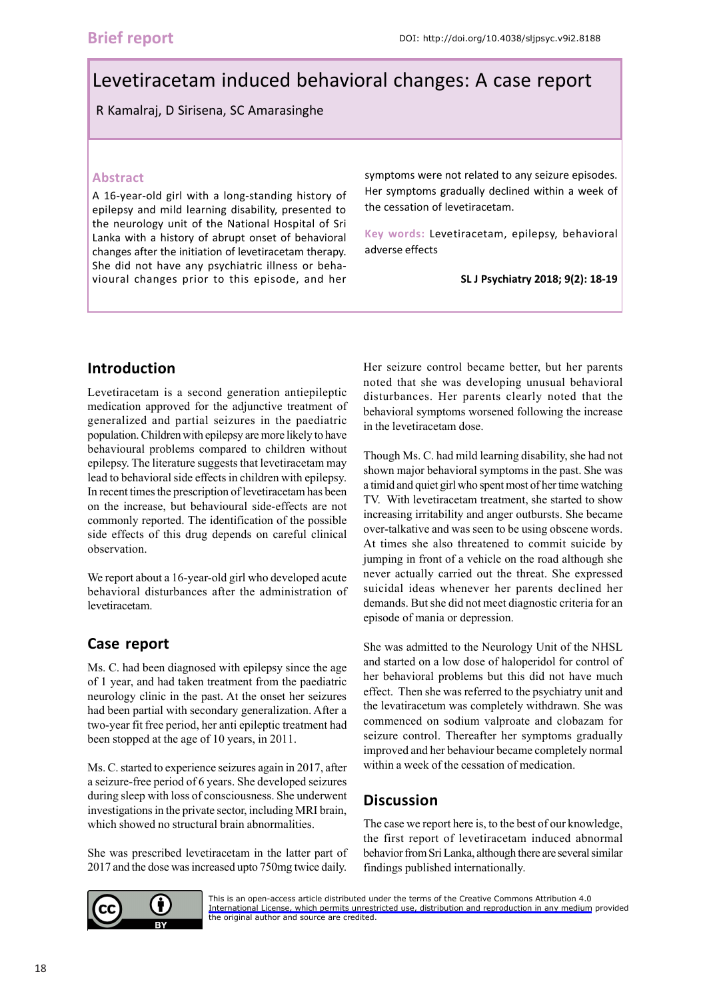# Levetiracetam induced behavioral changes: A case report

R Kamalraj, D Sirisena, SC Amarasinghe

#### **Abstract**

A 16-year-old girl with a long-standing history of epilepsy and mild learning disability, presented to the neurology unit of the National Hospital of Sri Lanka with a history of abrupt onset of behavioral changes after the initiation of levetiracetam therapy. She did not have any psychiatric illness or behavioural changes prior to this episode, and her symptoms were not related to any seizure episodes. Her symptoms gradually declined within a week of the cessation of levetiracetam.

**Key words:** Levetiracetam, epilepsy, behavioral adverse effects

**SL J Psychiatry 2018; 9(2): 18-19**

### **Introduction**

Levetiracetam is a second generation antiepileptic medication approved for the adjunctive treatment of generalized and partial seizures in the paediatric population. Children with epilepsy are more likely to have behavioural problems compared to children without epilepsy. The literature suggests that levetiracetam may lead to behavioral side effects in children with epilepsy. In recent times the prescription of levetiracetam has been on the increase, but behavioural side-effects are not commonly reported. The identification of the possible side effects of this drug depends on careful clinical observation.

We report about a 16-year-old girl who developed acute behavioral disturbances after the administration of levetiracetam.

# **Case report**

Ms. C. had been diagnosed with epilepsy since the age of 1 year, and had taken treatment from the paediatric neurology clinic in the past. At the onset her seizures had been partial with secondary generalization. After a two-year fit free period, her anti epileptic treatment had been stopped at the age of 10 years, in 2011.

Ms. C. started to experience seizures again in 2017, after a seizure-free period of 6 years. She developed seizures during sleep with loss of consciousness. She underwent investigations in the private sector, including MRI brain, which showed no structural brain abnormalities.

She was prescribed levetiracetam in the latter part of 2017 and the dose was increased upto 750mg twice daily.

Her seizure control became better, but her parents noted that she was developing unusual behavioral disturbances. Her parents clearly noted that the behavioral symptoms worsened following the increase in the levetiracetam dose.

Though Ms. C. had mild learning disability, she had not shown major behavioral symptoms in the past. She was a timid and quiet girl who spent most of her time watching TV. With levetiracetam treatment, she started to show increasing irritability and anger outbursts. She became over-talkative and was seen to be using obscene words. At times she also threatened to commit suicide by jumping in front of a vehicle on the road although she never actually carried out the threat. She expressed suicidal ideas whenever her parents declined her demands. But she did not meet diagnostic criteria for an episode of mania or depression.

She was admitted to the Neurology Unit of the NHSL and started on a low dose of haloperidol for control of her behavioral problems but this did not have much effect. Then she was referred to the psychiatry unit and the levatiracetum was completely withdrawn. She was commenced on sodium valproate and clobazam for seizure control. Thereafter her symptoms gradually improved and her behaviour became completely normal within a week of the cessation of medication.

## **Discussion**

The case we report here is, to the best of our knowledge, the first report of levetiracetam induced abnormal behavior from Sri Lanka, although there are several similar findings published internationally.



[This is an open-access article distributed under the terms of the Creative Commons Attribution 4.0](https://creativecommons.org/licenses/by/4.0/legalcode) International License, which permits unrestricted use, distribution and reproduction in any medium provided the original author and source are credited.